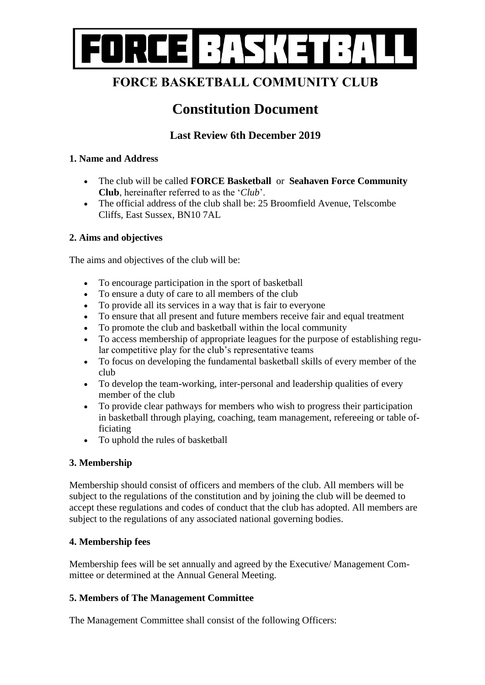

# **FORCE BASKETBALL COMMUNITY CLUB**

# **Constitution Document**

# **Last Review 6th December 2019**

## **1. Name and Address**

- The club will be called **FORCE Basketball** or **Seahaven Force Community Club**, hereinafter referred to as the '*Club*'.
- The official address of the club shall be: 25 Broomfield Avenue. Telscombe Cliffs, East Sussex, BN10 7AL

## **2. Aims and objectives**

The aims and objectives of the club will be:

- To encourage participation in the sport of basketball
- To ensure a duty of care to all members of the club
- To provide all its services in a way that is fair to everyone
- To ensure that all present and future members receive fair and equal treatment
- To promote the club and basketball within the local community
- To access membership of appropriate leagues for the purpose of establishing regular competitive play for the club's representative teams
- To focus on developing the fundamental basketball skills of every member of the club
- To develop the team-working, inter-personal and leadership qualities of every member of the club
- To provide clear pathways for members who wish to progress their participation in basketball through playing, coaching, team management, refereeing or table officiating
- To uphold the rules of basketball

#### **3. Membership**

Membership should consist of officers and members of the club. All members will be subject to the regulations of the constitution and by joining the club will be deemed to accept these regulations and codes of conduct that the club has adopted. All members are subject to the regulations of any associated national governing bodies.

## **4. Membership fees**

Membership fees will be set annually and agreed by the Executive/ Management Committee or determined at the Annual General Meeting.

#### **5. Members of The Management Committee**

The Management Committee shall consist of the following Officers: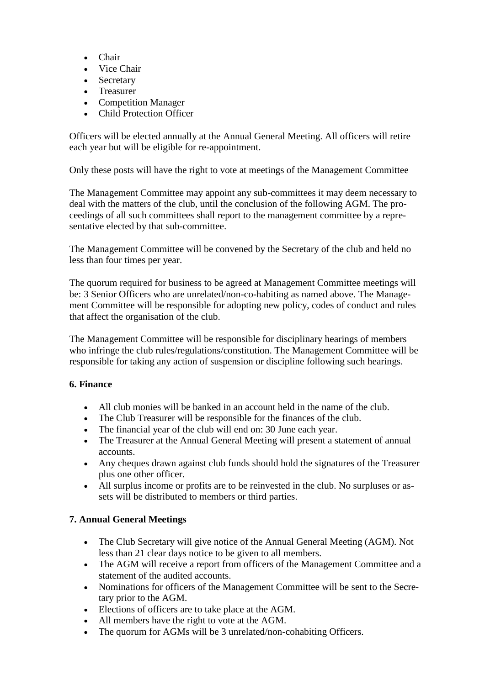- Chair
- Vice Chair
- Secretary
- Treasurer
- Competition Manager
- Child Protection Officer

Officers will be elected annually at the Annual General Meeting. All officers will retire each year but will be eligible for re-appointment.

Only these posts will have the right to vote at meetings of the Management Committee

The Management Committee may appoint any sub-committees it may deem necessary to deal with the matters of the club, until the conclusion of the following AGM. The proceedings of all such committees shall report to the management committee by a representative elected by that sub-committee.

The Management Committee will be convened by the Secretary of the club and held no less than four times per year.

The quorum required for business to be agreed at Management Committee meetings will be: 3 Senior Officers who are unrelated/non-co-habiting as named above. The Management Committee will be responsible for adopting new policy, codes of conduct and rules that affect the organisation of the club.

The Management Committee will be responsible for disciplinary hearings of members who infringe the club rules/regulations/constitution. The Management Committee will be responsible for taking any action of suspension or discipline following such hearings.

# **6. Finance**

- All club monies will be banked in an account held in the name of the club.
- The Club Treasurer will be responsible for the finances of the club.
- The financial year of the club will end on: 30 June each year.
- The Treasurer at the Annual General Meeting will present a statement of annual accounts.
- Any cheques drawn against club funds should hold the signatures of the Treasurer plus one other officer.
- All surplus income or profits are to be reinvested in the club. No surpluses or assets will be distributed to members or third parties.

# **7. Annual General Meetings**

- The Club Secretary will give notice of the Annual General Meeting (AGM). Not less than 21 clear days notice to be given to all members.
- The AGM will receive a report from officers of the Management Committee and a statement of the audited accounts.
- Nominations for officers of the Management Committee will be sent to the Secretary prior to the AGM.
- Elections of officers are to take place at the AGM.
- All members have the right to vote at the AGM.
- The quorum for AGMs will be 3 unrelated/non-cohabiting Officers.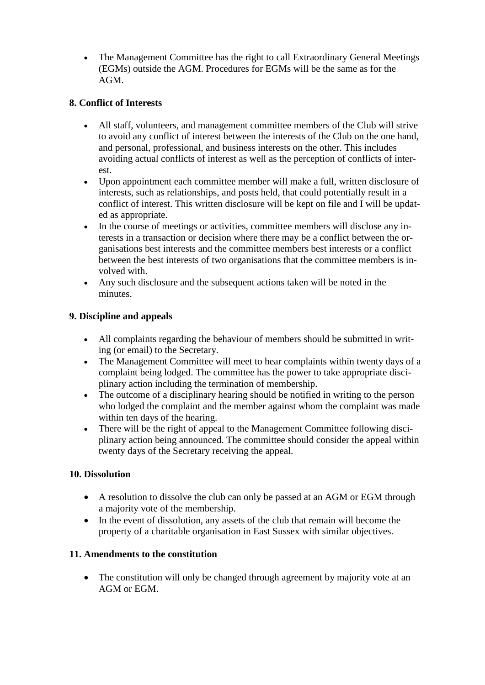The Management Committee has the right to call Extraordinary General Meetings (EGMs) outside the AGM. Procedures for EGMs will be the same as for the AGM.

# **8. Conflict of Interests**

- All staff, volunteers, and management committee members of the Club will strive to avoid any conflict of interest between the interests of the Club on the one hand, and personal, professional, and business interests on the other. This includes avoiding actual conflicts of interest as well as the perception of conflicts of interest.
- Upon appointment each committee member will make a full, written disclosure of interests, such as relationships, and posts held, that could potentially result in a conflict of interest. This written disclosure will be kept on file and I will be updated as appropriate.
- In the course of meetings or activities, committee members will disclose any interests in a transaction or decision where there may be a conflict between the organisations best interests and the committee members best interests or a conflict between the best interests of two organisations that the committee members is involved with.
- Any such disclosure and the subsequent actions taken will be noted in the minutes.

## **9. Discipline and appeals**

- All complaints regarding the behaviour of members should be submitted in writing (or email) to the Secretary.
- The Management Committee will meet to hear complaints within twenty days of a complaint being lodged. The committee has the power to take appropriate disciplinary action including the termination of membership.
- The outcome of a disciplinary hearing should be notified in writing to the person who lodged the complaint and the member against whom the complaint was made within ten days of the hearing.
- There will be the right of appeal to the Management Committee following disciplinary action being announced. The committee should consider the appeal within twenty days of the Secretary receiving the appeal.

## **10. Dissolution**

- A resolution to dissolve the club can only be passed at an AGM or EGM through a majority vote of the membership.
- In the event of dissolution, any assets of the club that remain will become the property of a charitable organisation in East Sussex with similar objectives.

## **11. Amendments to the constitution**

• The constitution will only be changed through agreement by majority vote at an AGM or EGM.